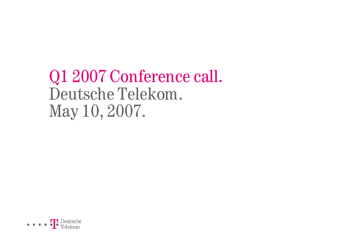# Q1 2007 Conference call. Deutsche Telekom. May 10, 2007.

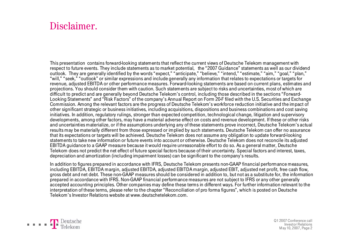#### Disclaimer.

This presentation contains forward-looking statements that reflect the current views of Deutsche Telekom management with respect to future events. They include statements as to market potential, the "2007 Guidance" statements as well as our dividend outlook. They are generally identified by the words "expect," "anticipate," "believe," "intend," "estimate," "aim," "goal," "plan," "will," "seek," "outlook" or similar expressions and include generally any information that relates to expectations or targets for revenue, adjusted EBITDA or other performance measures. Forward-looking statements are based on current plans, estimates and projections. You should consider them with caution. Such statements are subject to risks and uncertainties, most of which are difficult to predict and are generally beyond Deutsche Telekom's control, including those described in the sections "Forward-Looking Statements" and "Risk Factors" of the company's Annual Report on Form 20-F filed with the U.S. Securities and Exchange Commission. Among the relevant factors are the progress of Deutsche Telekom's workforce reduction initiative and the impact of other significant strategic or business initiatives, including acquisitions, dispositions and business combinations and cost saving initiatives. In addition, regulatory rulings, stronger than expected competition, technological change, litigation and supervisory developments, among other factors, may have a material adverse effect on costs and revenue development. If these or other risks and uncertainties materialize, or if the assumptions underlying any of these statements prove incorrect, Deutsche Telekom's actual results may be materially different from those expressed or implied by such statements. Deutsche Telekom can offer no assurance that its expectations or targets will be achieved. Deutsche Telekom does not assume any obligation to update forward-looking statements to take new information or future events into account or otherwise. Deutsche Telekom does not reconcile its adjusted EBITDA guidance to a GAAP measure because it would require unreasonable effort to do so. As a general matter, Deutsche Telekom does not predict the net effect of future special factors because of their uncertainty. Special factors and interest, taxes, depreciation and amortization (including impairment losses) can be significant to the company's results.

In addition to figures prepared in accordance with IFRS, Deutsche Telekom presents non-GAAP financial performance measures, including EBITDA, EBITDA margin, adjusted EBITDA, adjusted EBITDA margin, adjusted EBIT, adjusted net profit, free cash flow, gross debt and net debt. These non-GAAP measures should be considered in addition to, but not as a substitute for, the information prepared in accordance with IFRS. Non-GAAP financial performance measures are not subject to IFRS or any other generally accepted accounting principles. Other companies may define these terms in different ways. For further information relevant to the interpretation of these terms, please refer to the chapter "Reconciliation of pro forma figures", which is posted on Deutsche Telekom's Investor Relations website at www.deutschetelekom.com.

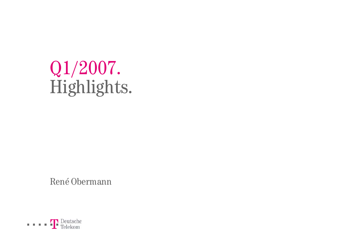# Q1/2007. Highlights.

René Obermann

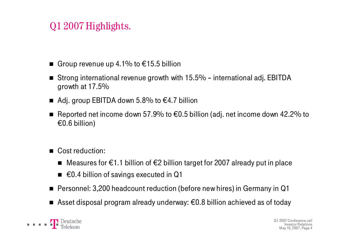# Q1 2007 Highlights.

- Group revenue up 4.1% to €15.5 billion
- Strong international revenue growth with 15.5% international adj. EBITDA growth at 17.5%
- Adj. group EBITDA down 5.8% to  $€4.7$  billion
- Reported net income down 57.9% to  $€0.5$  billion (adj. net income down 42.2% to €0.6 billion)
- Cost reduction:
	- Measures for €1.1 billion of €2 billion target for 2007 already put in place
	- €0.4 billion of savings executed in Q1
- Personnel: 3,200 headcount reduction (before new hires) in Germany in Q1
- Asset disposal program already underway: €0.8 billion achieved as of today

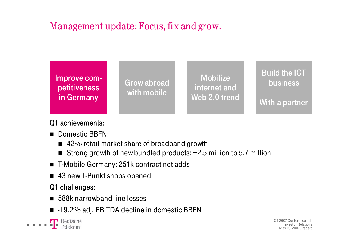

#### Q1 achievements:

- Domestic BBFN:
	- 42% retail market share of broadband growth
	- Strong growth of new bundled products: +2.5 million to 5.7 million
- T-Mobile Germany: 251k contract net adds
- 43 new T-Punkt shops opened

#### Q1 challenges:

- 588k narrowband line losses
- $\blacksquare$  -19.2% adj. EBITDA decline in domestic BBFN

**T** Deutsche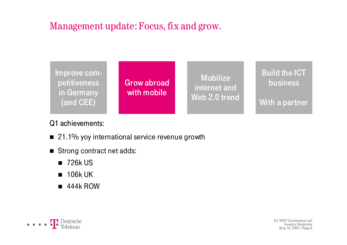

#### Q1 achievements:

- 21.1% yoy international service revenue growth
- Strong contract net adds:
	- 726k US
	- 106k UK
	- 444k ROW

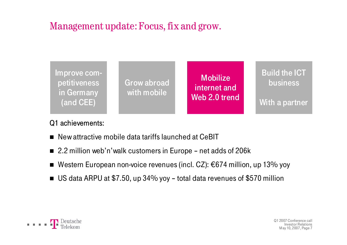

#### Q1 achievements:

- New attractive mobile data tariffs launched at CeBIT
- 2.2 million web'n'walk customers in Europe net adds of 206k
- Western European non-voice revenues (incl. CZ): €674 million, up 13% yoy
- US data ARPU at \$7.50, up 34% yoy total data revenues of \$570 million

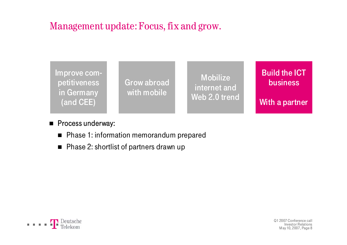

#### **Process underway:**

- Phase 1: information memorandum prepared
- Phase 2: shortlist of partners drawn up

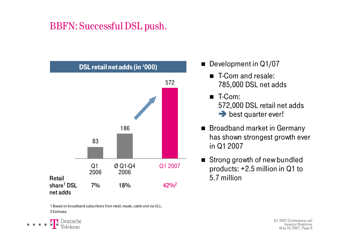# BBFN: Successful DSL push.



1 Based on broadband subscribers from retail, resale, cable and via ULL. 2 Estimate.



■ Development in Q1/07

- T-Com and resale: 785,000 DSL net adds
- T-Com: 572,000 DSL retail net adds  $\rightarrow$  best quarter ever!
- Broadband market in Germany has shown strongest growth ever in Q1 2007
- Strong growth of new bundled products: +2.5 million in Q1 to 5.7 million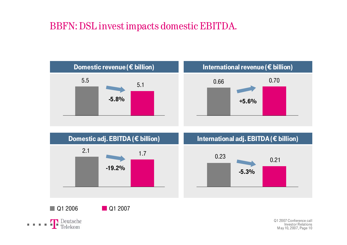# BBFN: DSL invest impacts domestic EBITDA.





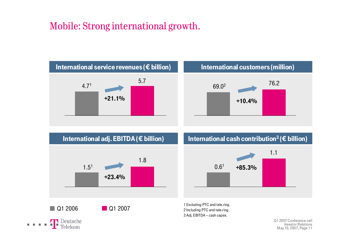## Mobile: Strong international growth.





International cash contribution<sup>3</sup> ( $\epsilon$  billion)



3 Adj. EBITDA – cash capex.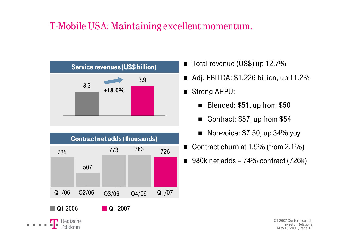# T-Mobile USA: Maintaining excellent momentum.



| <b>Contractnet adds (thousands)</b> |       |                        |       |       |  |  |
|-------------------------------------|-------|------------------------|-------|-------|--|--|
| 725                                 |       | 773                    | 783   | 726   |  |  |
|                                     | 507   |                        |       |       |  |  |
|                                     |       |                        |       |       |  |  |
| Q1/06                               | Q2/06 | Q3/06                  | Q4/06 | Q1/07 |  |  |
| Q1 2006                             |       | $\blacksquare$ Q1 2007 |       |       |  |  |
| $\mathbf{L}$                        |       |                        |       |       |  |  |

. . . .

- Total revenue (US\$) up 12.7%
- Adj. EBITDA: \$1.226 billion, up 11.2%
- Strong ARPU:
	- Blended: \$51, up from \$50
	- Contract: \$57, up from \$54
	- Non-voice: \$7.50, up 34% yoy
- Contract churn at 1.9% (from 2.1%)
- 980k net adds 74% contract (726k)

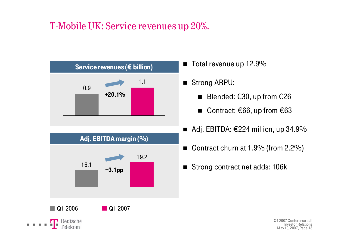# T-Mobile UK: Service revenues up 20%.



- $\blacksquare$  Total revenue up 12.9%
- $\blacksquare$  Strong ARPU:
	- $\blacksquare$ Blended: €30, up from €26
	- Contract: €66, up from €63
- Adj. EBITDA:  $€224$  million, up 34.9%
- $\blacksquare$ Contract churn at 1.9% (from 2.2%)
- $\blacksquare$ Strong contract net adds: 106k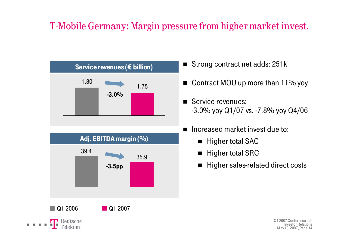# T-Mobile Germany: Margin pressure from higher market invest.



- Strong contract net adds: 251k
- Contract MOU up more than 11% yoy
- **Service revenues:** -3.0% yoy Q1/07 vs. -7.8% yoy Q4/06
- Increased market invest due to:
	- $\blacksquare$ Higher total SAC
	- $\blacksquare$ Higher total SRC
	- $\blacksquare$ Higher sales-related direct costs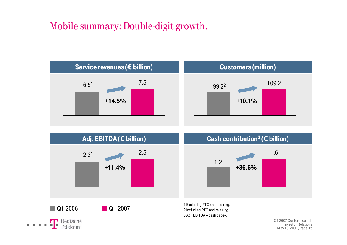## Mobile summary: Double-digit growth.





Investor RelationsMay 10, 2007, Page 15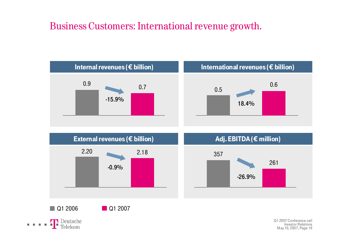## Business Customers: International revenue growth.



**T** Deutsche *<u>ALCOHOL: 1999</u>* Telekom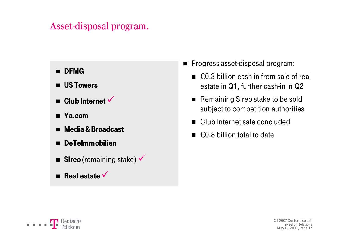#### Asset-disposal program.

- **m** DFMG
- **US Towers**
- $\blacksquare$  **Club Internet**  $\checkmark$
- Ya.com
- Media & Broadcast
- $\blacksquare$ DeTeImmobilien
- **Sireo** (remaining stake)  $\checkmark$
- **Real estate**
- Progress asset-disposal program:
	- $\blacksquare$   $\in$  0.3 billion cash-in from sale of real estate in Q1, further cash-in in Q2
	- Remaining Sireo stake to be sold subject to competition authorities
	- Club Internet sale concluded
	- €0.8 billion total to date

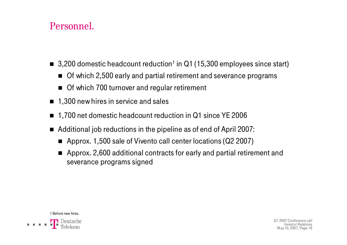### Personnel.

- 3,200 domestic headcount reduction<sup>1</sup> in Q1 (15,300 employees since start)
	- Of which 2,500 early and partial retirement and severance programs
	- Of which 700 turnover and regular retirement
- $\blacksquare$  1,300 new hires in service and sales
- 1,700 net domestic headcount reduction in Q1 since YE 2006
- Additional job reductions in the pipeline as of end of April 2007:
	- Approx. 1,500 sale of Vivento call center locations (Q2 2007)
	- Approx. 2,600 additional contracts for early and partial retirement and severance programs signed

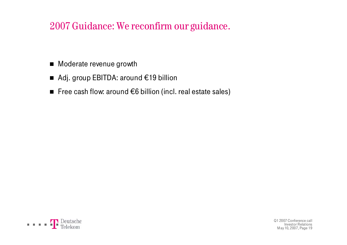## 2007 Guidance: We reconfirm our guidance.

- Moderate revenue growth
- Adj. group EBITDA: around €19 billion
- Free cash flow: around €6 billion (incl. real estate sales)

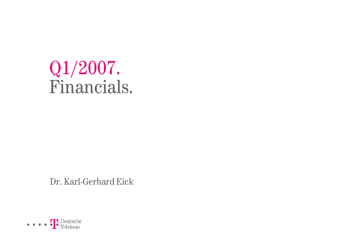# Q1/2007. Financials.

Dr. Karl-Gerhard Eick

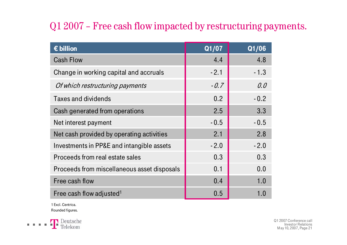# Q1 2007 – Free cash flow impacted by restructuring payments.

| $\epsilon$ billion                          | Q1/07  | Q1/06  |
|---------------------------------------------|--------|--------|
| <b>Cash Flow</b>                            | 4.4    | 4.8    |
| Change in working capital and accruals      | $-2.1$ | $-1.3$ |
| Of which restructuring payments             | $-0.7$ | 0.0    |
| <b>Taxes and dividends</b>                  | 0.2    | $-0.2$ |
| Cash generated from operations              | 2.5    | 3.3    |
| Net interest payment                        | $-0.5$ | $-0.5$ |
| Net cash provided by operating activities   | 2.1    | 2.8    |
| Investments in PP&E and intangible assets   | $-2.0$ | $-2.0$ |
| Proceeds from real estate sales             | 0.3    | 0.3    |
| Proceeds from miscellaneous asset disposals | 0.1    | 0.0    |
| Free cash flow                              | 0.4    | 1.0    |
| Free cash flow adjusted <sup>1</sup>        | 0.5    | 1.0    |

1 Excl. Centrica. Rounded figures.

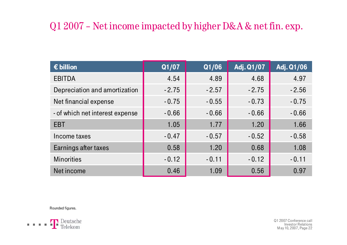# Q1 2007 – Net income impacted by higher D&A & net fin. exp.

| $\epsilon$ billion              | Q1/07   | Q1/06   | Adj. Q1/07 | Adj. Q1/06 |
|---------------------------------|---------|---------|------------|------------|
| <b>EBITDA</b>                   | 4.54    | 4.89    | 4.68       | 4.97       |
| Depreciation and amortization   | $-2.75$ | $-2.57$ | $-2.75$    | $-2.56$    |
| Net financial expense           | $-0.75$ | $-0.55$ | $-0.73$    | $-0.75$    |
| - of which net interest expense | $-0.66$ | $-0.66$ | $-0.66$    | $-0.66$    |
| <b>EBT</b>                      | 1.05    | 1.77    | 1.20       | 1.66       |
| Income taxes                    | $-0.47$ | $-0.57$ | $-0.52$    | $-0.58$    |
| Earnings after taxes            | 0.58    | 1.20    | 0.68       | 1.08       |
| <b>Minorities</b>               | $-0.12$ | $-0.11$ | $-0.12$    | $-0.11$    |
| Net income                      | 0.46    | 1.09    | 0.56       | 0.97       |

Rounded figures.